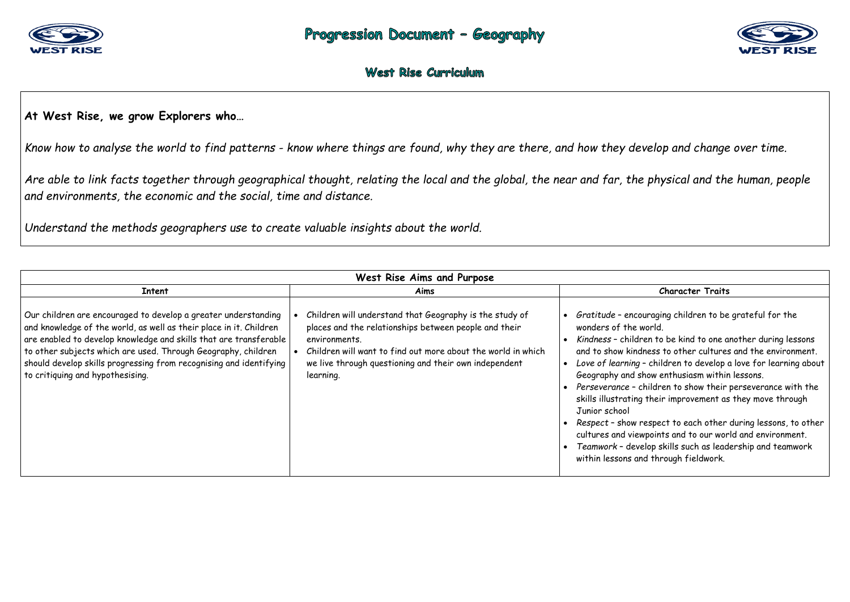

### **At West Rise, we grow Explorers who…**

*Know how to analyse the world to find patterns - know where things are found, why they are there, and how they develop and change over time.* 

*Are able to link facts together through geographical thought, relating the local and the global, the near and far, the physical and the human, people and environments, the economic and the social, time and distance.* 

*Understand the methods geographers use to create valuable insights about the world.* 

| West Rise Aims and Purpose                                                                                                                                                                                                                                                                                                                                                           |                                                                                                                                                                                                                                                                         |                                                                                                                                                                                                                                                                                     |
|--------------------------------------------------------------------------------------------------------------------------------------------------------------------------------------------------------------------------------------------------------------------------------------------------------------------------------------------------------------------------------------|-------------------------------------------------------------------------------------------------------------------------------------------------------------------------------------------------------------------------------------------------------------------------|-------------------------------------------------------------------------------------------------------------------------------------------------------------------------------------------------------------------------------------------------------------------------------------|
| <b>Intent</b>                                                                                                                                                                                                                                                                                                                                                                        | Aims                                                                                                                                                                                                                                                                    |                                                                                                                                                                                                                                                                                     |
| Our children are encouraged to develop a greater understanding<br>and knowledge of the world, as well as their place in it. Children<br>are enabled to develop knowledge and skills that are transferable<br>to other subjects which are used. Through Geography, children<br>should develop skills progressing from recognising and identifying<br>to critiquing and hypothesising. | Children will understand that Geography is the study of<br>places and the relationships between people and their<br>environments.<br>Children will want to find out more about the world in which<br>we live through questioning and their own independent<br>learning. | Gratitude - encor<br>wonders of the <b>w</b><br>Kindness - childr<br>and to show kind<br>Love of learning $\cdot$<br>Geography and sh<br>Perseverance - cl<br>skills illustrating<br>Junior school<br>Respect - show r<br>cultures and view<br>Teamwork - deve<br>within lessons an |



#### **Character Traits**

uraging children to be grateful for the vorld.

ren to be kind to one another during lessons ness to other cultures and the environment. *Love of learning* – children to develop a love for learning about how enthusiasm within lessons.

hildren to show their perseverance with the their improvement as they move through

respect to each other during lessons, to other vpoints and to our world and environment. *Teamwork* – develop skills such as leadership and teamwork d through fieldwork.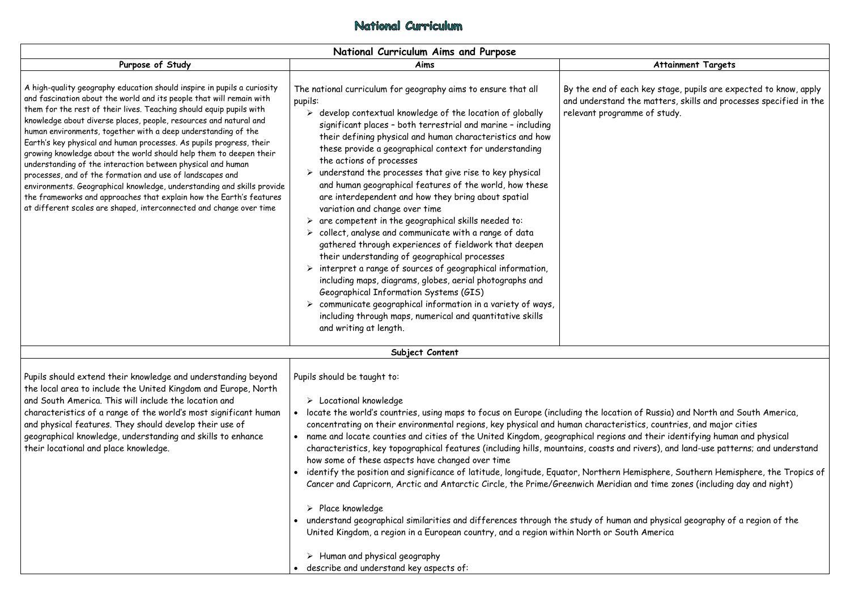|                                                                                                                                                                                                                                                                                                                                                                                                                                                                                                                                                                                                                                                                                                                                                                                                                                                               | National Curriculum Aims and Purpose                                                                                                                                                                                                                                                                                                                                                                                                                                                                                                                                                                                                                                                                                                                                                                                                                                                                                                                                                                                                                                                                                                                                                                                           |                                                                                         |  |
|---------------------------------------------------------------------------------------------------------------------------------------------------------------------------------------------------------------------------------------------------------------------------------------------------------------------------------------------------------------------------------------------------------------------------------------------------------------------------------------------------------------------------------------------------------------------------------------------------------------------------------------------------------------------------------------------------------------------------------------------------------------------------------------------------------------------------------------------------------------|--------------------------------------------------------------------------------------------------------------------------------------------------------------------------------------------------------------------------------------------------------------------------------------------------------------------------------------------------------------------------------------------------------------------------------------------------------------------------------------------------------------------------------------------------------------------------------------------------------------------------------------------------------------------------------------------------------------------------------------------------------------------------------------------------------------------------------------------------------------------------------------------------------------------------------------------------------------------------------------------------------------------------------------------------------------------------------------------------------------------------------------------------------------------------------------------------------------------------------|-----------------------------------------------------------------------------------------|--|
| Purpose of Study                                                                                                                                                                                                                                                                                                                                                                                                                                                                                                                                                                                                                                                                                                                                                                                                                                              | Aims                                                                                                                                                                                                                                                                                                                                                                                                                                                                                                                                                                                                                                                                                                                                                                                                                                                                                                                                                                                                                                                                                                                                                                                                                           | Attai                                                                                   |  |
| A high-quality geography education should inspire in pupils a curiosity<br>and fascination about the world and its people that will remain with<br>them for the rest of their lives. Teaching should equip pupils with<br>knowledge about diverse places, people, resources and natural and<br>human environments, together with a deep understanding of the<br>Earth's key physical and human processes. As pupils progress, their<br>growing knowledge about the world should help them to deepen their<br>understanding of the interaction between physical and human<br>processes, and of the formation and use of landscapes and<br>environments. Geographical knowledge, understanding and skills provide<br>the frameworks and approaches that explain how the Earth's features<br>at different scales are shaped, interconnected and change over time | The national curriculum for geography aims to ensure that all<br>pupils:<br>$\triangleright$ develop contextual knowledge of the location of globally<br>significant places - both terrestrial and marine - including<br>their defining physical and human characteristics and how<br>these provide a geographical context for understanding<br>the actions of processes<br>$\triangleright$ understand the processes that give rise to key physical<br>and human geographical features of the world, how these<br>are interdependent and how they bring about spatial<br>variation and change over time<br>$\triangleright$ are competent in the geographical skills needed to:<br>$\triangleright$ collect, analyse and communicate with a range of data<br>gathered through experiences of fieldwork that deepen<br>their understanding of geographical processes<br>$\triangleright$ interpret a range of sources of geographical information,<br>including maps, diagrams, globes, aerial photographs and<br>Geographical Information Systems (GIS)<br>$\triangleright$ communicate geographical information in a variety of ways,<br>including through maps, numerical and quantitative skills<br>and writing at length. | By the end of each key stag<br>and understand the matters<br>relevant programme of stud |  |
|                                                                                                                                                                                                                                                                                                                                                                                                                                                                                                                                                                                                                                                                                                                                                                                                                                                               | Subject Content                                                                                                                                                                                                                                                                                                                                                                                                                                                                                                                                                                                                                                                                                                                                                                                                                                                                                                                                                                                                                                                                                                                                                                                                                |                                                                                         |  |
| Pupils should extend their knowledge and understanding beyond<br>the local area to include the United Kingdom and Europe, North<br>and South America. This will include the location and<br>characteristics of a range of the world's most significant human<br>and physical features. They should develop their use of<br>geographical knowledge, understanding and skills to enhance<br>their locational and place knowledge.                                                                                                                                                                                                                                                                                                                                                                                                                               | Pupils should be taught to:<br>$\triangleright$ Locational knowledge<br>locate the world's countries, using maps to focus on Europe (including the location of Russia)<br>concentrating on their environmental regions, key physical and human characteristics, countr<br>name and locate counties and cities of the United Kingdom, geographical regions and their id<br>characteristics, key topographical features (including hills, mountains, coasts and rivers), and<br>how some of these aspects have changed over time<br>identify the position and significance of latitude, longitude, Equator, Northern Hemisphere,<br>Cancer and Capricorn, Arctic and Antarctic Circle, the Prime/Greenwich Meridian and time z<br>$\triangleright$ Place knowledge<br>understand geographical similarities and differences through the study of human and physic<br>United Kingdom, a region in a European country, and a region within North or South America                                                                                                                                                                                                                                                                   |                                                                                         |  |

## National Curriculum

 $\triangleright$  Human and physical geography describe and understand key aspects of:

### **Attainment Targets**

Rey stage, pupils are expected to know, apply e matters, skills and processes specified in the re of study.

of Russia) and North and South America, cs, countries, and major cities nd their identifying human and physical rivers), and land-use patterns; and understand

iisphere, Southern Hemisphere, the Tropics of Ind time zones (including day and night)

nd physical geography of a region of the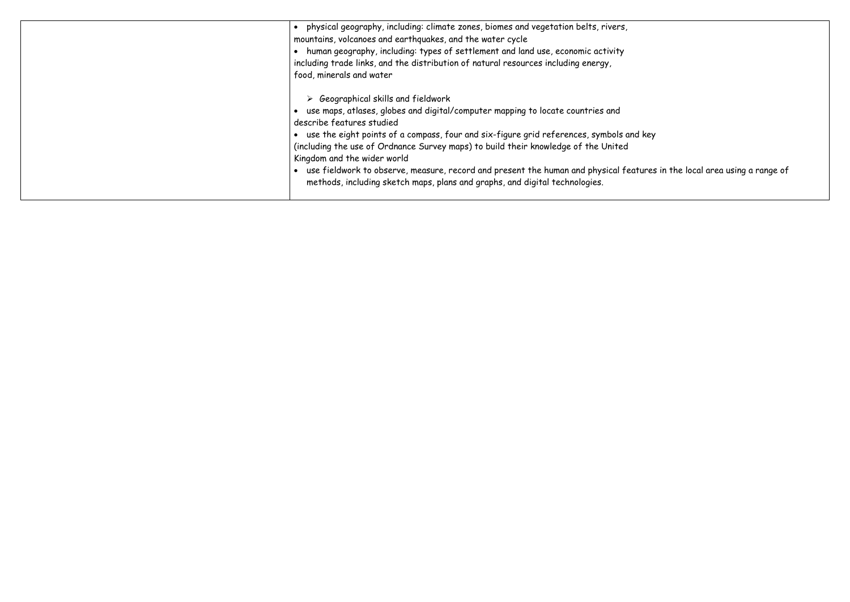| physical geography, including: climate zones, biomes and vegetation belts, rivers,<br>mountains, volcanoes and earthquakes, and the water cycle<br>human geography, including: types of settlement and land use, economic activity<br>including trade links, and the distribution of natural resources including energy,<br>food, minerals and water                                                                                                                                                                                                      |
|-----------------------------------------------------------------------------------------------------------------------------------------------------------------------------------------------------------------------------------------------------------------------------------------------------------------------------------------------------------------------------------------------------------------------------------------------------------------------------------------------------------------------------------------------------------|
| $\triangleright$ Geographical skills and fieldwork<br>use maps, atlases, globes and digital/computer mapping to locate countries and<br>describe features studied<br>use the eight points of a compass, four and six-figure grid references, symbols and key<br>(including the use of Ordnance Survey maps) to build their knowledge of the United<br>Kingdom and the wider world<br>use fieldwork to observe, measure, record and present the human and physical features<br>methods, including sketch maps, plans and graphs, and digital technologies. |

rures in the local area using a range of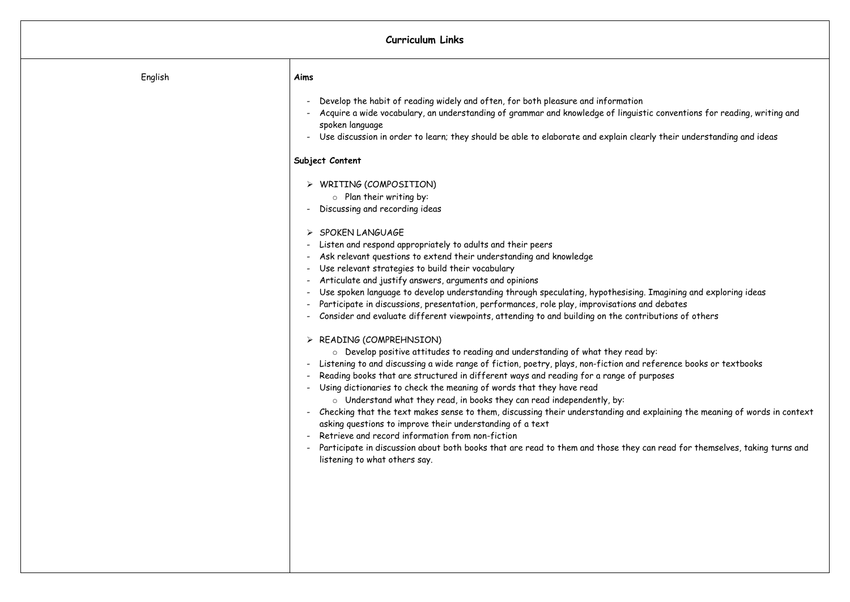## **Curriculum Links**

| English | Aims                                                                                                                                                                                                                                                                                                                                                                                                                                                                                                                                                                                                                                                                                                                                                                                                                                                                                                                                                                                                                                                                                                                                                                                                                                                                                                                                                                                                                                                                                                                                                                                                                          |
|---------|-------------------------------------------------------------------------------------------------------------------------------------------------------------------------------------------------------------------------------------------------------------------------------------------------------------------------------------------------------------------------------------------------------------------------------------------------------------------------------------------------------------------------------------------------------------------------------------------------------------------------------------------------------------------------------------------------------------------------------------------------------------------------------------------------------------------------------------------------------------------------------------------------------------------------------------------------------------------------------------------------------------------------------------------------------------------------------------------------------------------------------------------------------------------------------------------------------------------------------------------------------------------------------------------------------------------------------------------------------------------------------------------------------------------------------------------------------------------------------------------------------------------------------------------------------------------------------------------------------------------------------|
|         | Develop the habit of reading widely and often, for both pleasure and information<br>$\overline{\phantom{a}}$<br>Acquire a wide vocabulary, an understanding of grammar and knowledge of linguistic conve<br>$\blacksquare$<br>spoken language<br>Use discussion in order to learn; they should be able to elaborate and explain clearly their                                                                                                                                                                                                                                                                                                                                                                                                                                                                                                                                                                                                                                                                                                                                                                                                                                                                                                                                                                                                                                                                                                                                                                                                                                                                                 |
|         | Subject Content                                                                                                                                                                                                                                                                                                                                                                                                                                                                                                                                                                                                                                                                                                                                                                                                                                                                                                                                                                                                                                                                                                                                                                                                                                                                                                                                                                                                                                                                                                                                                                                                               |
|         | $\triangleright$ WRITING (COMPOSITION)<br>$\circ$ Plan their writing by:<br>Discussing and recording ideas<br>$\blacksquare$<br>$\triangleright$ SPOKEN LANGUAGE<br>Listen and respond appropriately to adults and their peers<br>$\blacksquare$<br>Ask relevant questions to extend their understanding and knowledge<br>Use relevant strategies to build their vocabulary<br>$\blacksquare$<br>Articulate and justify answers, arguments and opinions<br>Use spoken language to develop understanding through speculating, hypothesising. Imagin<br>Participate in discussions, presentation, performances, role play, improvisations and debat<br>Consider and evaluate different viewpoints, attending to and building on the contributions<br>$\triangleright$ READING (COMPREHNSION)<br>Develop positive attitudes to reading and understanding of what they read by:<br>$\circ$<br>- Listening to and discussing a wide range of fiction, poetry, plays, non-fiction and referenc<br>Reading books that are structured in different ways and reading for a range of purposes<br>Using dictionaries to check the meaning of words that they have read<br>o Understand what they read, in books they can read independently, by:<br>Checking that the text makes sense to them, discussing their understanding and explainir<br>$\blacksquare$<br>asking questions to improve their understanding of a text<br>Retrieve and record information from non-fiction<br>$\overline{\phantom{0}}$<br>Participate in discussion about both books that are read to them and those they can read<br>listening to what others say. |

tic conventions for reading, writing and

arly their understanding and ideas

. Imagining and exploring ideas nd debates ributions of others

reference books or textbooks

explaining the meaning of words in context

can read for themselves, taking turns and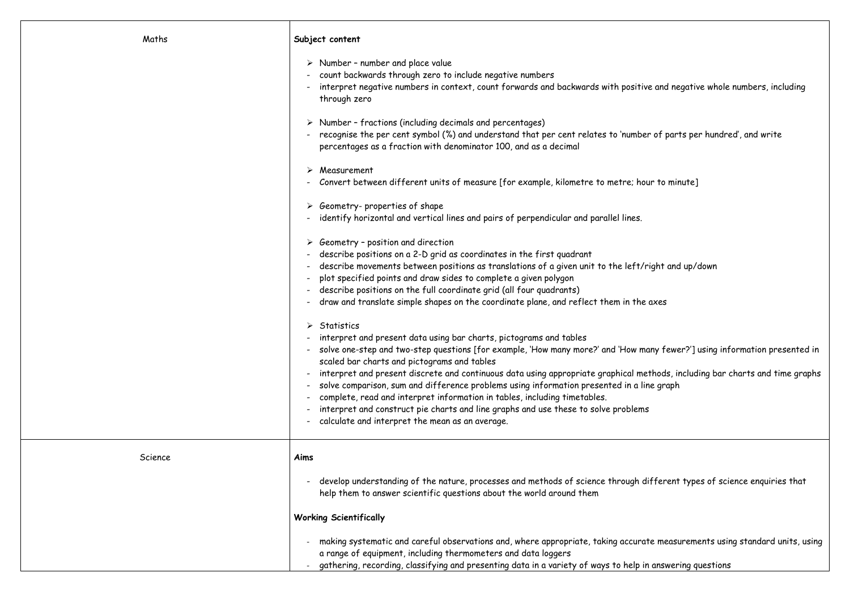| Maths   | Subject content                                                                                                                                                                                                                                                                                                                                                                                                                                                                                                                                                                                                                                                                                                                                                                                                                                                                                                                                                                                                                                                                                                                                                                                                                                                                                                                                                                                                                                                                                                                                                                                                                                                                                                                                                                                             |
|---------|-------------------------------------------------------------------------------------------------------------------------------------------------------------------------------------------------------------------------------------------------------------------------------------------------------------------------------------------------------------------------------------------------------------------------------------------------------------------------------------------------------------------------------------------------------------------------------------------------------------------------------------------------------------------------------------------------------------------------------------------------------------------------------------------------------------------------------------------------------------------------------------------------------------------------------------------------------------------------------------------------------------------------------------------------------------------------------------------------------------------------------------------------------------------------------------------------------------------------------------------------------------------------------------------------------------------------------------------------------------------------------------------------------------------------------------------------------------------------------------------------------------------------------------------------------------------------------------------------------------------------------------------------------------------------------------------------------------------------------------------------------------------------------------------------------------|
|         | $\triangleright$ Number - number and place value<br>count backwards through zero to include negative numbers<br>interpret negative numbers in context, count forwards and backwards with positive and ne<br>through zero<br>$\triangleright$ Number - fractions (including decimals and percentages)<br>recognise the per cent symbol (%) and understand that per cent relates to 'number of part<br>percentages as a fraction with denominator 100, and as a decimal<br>Measurement<br>Convert between different units of measure [for example, kilometre to metre; hour to min<br>$\triangleright$ Geometry-properties of shape<br>identify horizontal and vertical lines and pairs of perpendicular and parallel lines.<br>$\triangleright$ Geometry - position and direction<br>describe positions on a 2-D grid as coordinates in the first quadrant<br>describe movements between positions as translations of a given unit to the left/right and<br>plot specified points and draw sides to complete a given polygon<br>describe positions on the full coordinate grid (all four quadrants)<br>draw and translate simple shapes on the coordinate plane, and reflect them in the axes<br>$\triangleright$ Statistics<br>interpret and present data using bar charts, pictograms and tables<br>- solve one-step and two-step questions [for example, 'How many more?' and 'How many fewe<br>scaled bar charts and pictograms and tables<br>interpret and present discrete and continuous data using appropriate graphical methods, in<br>solve comparison, sum and difference problems using information presented in a line graph<br>complete, read and interpret information in tables, including timetables.<br>interpret and construct pie charts and line graphs and use these to solve problems |
|         | calculate and interpret the mean as an average.                                                                                                                                                                                                                                                                                                                                                                                                                                                                                                                                                                                                                                                                                                                                                                                                                                                                                                                                                                                                                                                                                                                                                                                                                                                                                                                                                                                                                                                                                                                                                                                                                                                                                                                                                             |
| Science | Aims                                                                                                                                                                                                                                                                                                                                                                                                                                                                                                                                                                                                                                                                                                                                                                                                                                                                                                                                                                                                                                                                                                                                                                                                                                                                                                                                                                                                                                                                                                                                                                                                                                                                                                                                                                                                        |
|         | develop understanding of the nature, processes and methods of science through different<br>help them to answer scientific questions about the world around them                                                                                                                                                                                                                                                                                                                                                                                                                                                                                                                                                                                                                                                                                                                                                                                                                                                                                                                                                                                                                                                                                                                                                                                                                                                                                                                                                                                                                                                                                                                                                                                                                                             |
|         | <b>Working Scientifically</b>                                                                                                                                                                                                                                                                                                                                                                                                                                                                                                                                                                                                                                                                                                                                                                                                                                                                                                                                                                                                                                                                                                                                                                                                                                                                                                                                                                                                                                                                                                                                                                                                                                                                                                                                                                               |
|         | making systematic and careful observations and, where appropriate, taking accurate measu<br>a range of equipment, including thermometers and data loggers<br>gathering, recording, classifying and presenting data in a variety of ways to help in answeri                                                                                                                                                                                                                                                                                                                                                                                                                                                                                                                                                                                                                                                                                                                                                                                                                                                                                                                                                                                                                                                                                                                                                                                                                                                                                                                                                                                                                                                                                                                                                  |

ve and negative whole numbers, including

er of parts per hundred', and write

ur to minute]

right and up/down

any fewer?'] using information presented in

ethods, including bar charts and time graphs

lifferent types of science enquiries that

te measurements using standard units, using

n answering questions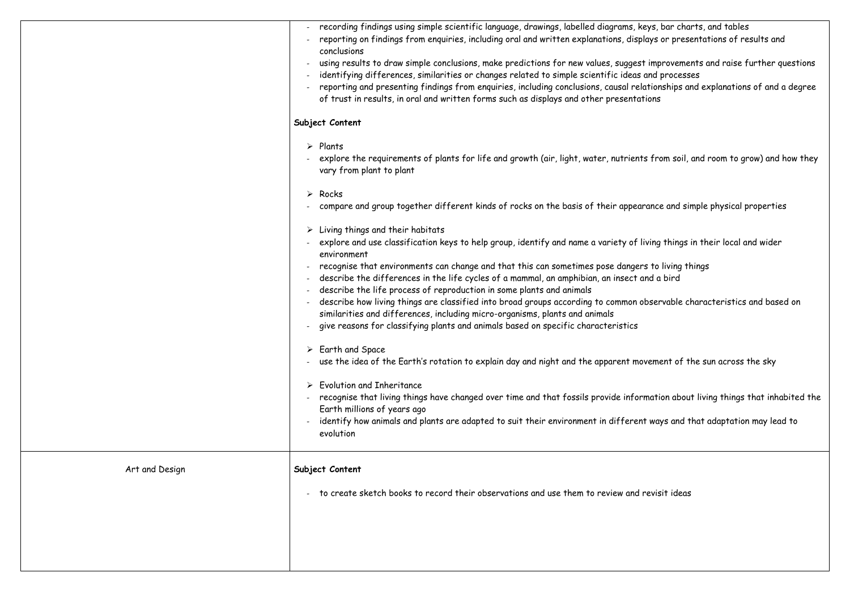|                | recording findings using simple scientific language, drawings, labelled diagrams, keys, bar cl<br>reporting on findings from enquiries, including oral and written explanations, displays or pro<br>conclusions<br>using results to draw simple conclusions, make predictions for new values, suggest improver<br>identifying differences, similarities or changes related to simple scientific ideas and proce<br>reporting and presenting findings from enquiries, including conclusions, causal relationships<br>of trust in results, in oral and written forms such as displays and other presentations<br>Subject Content<br>$\triangleright$ Plants<br>explore the requirements of plants for life and growth (air, light, water, nutrients from so<br>vary from plant to plant<br>$\triangleright$ Rocks<br>compare and group together different kinds of rocks on the basis of their appearance and<br>$\triangleright$ Living things and their habitats<br>explore and use classification keys to help group, identify and name a variety of living thing<br>environment<br>recognise that environments can change and that this can sometimes pose dangers to living<br>describe the differences in the life cycles of a mammal, an amphibian, an insect and a bird<br>describe the life process of reproduction in some plants and animals<br>describe how living things are classified into broad groups according to common observable<br>similarities and differences, including micro-organisms, plants and animals<br>give reasons for classifying plants and animals based on specific characteristics<br>$\triangleright$ Earth and Space<br>use the idea of the Earth's rotation to explain day and night and the apparent movement of<br><b>Evolution and Inheritance</b><br>recognise that living things have changed over time and that fossils provide information ab<br>Earth millions of years ago<br>identify how animals and plants are adapted to suit their environment in different ways and<br>evolution |
|----------------|-----------------------------------------------------------------------------------------------------------------------------------------------------------------------------------------------------------------------------------------------------------------------------------------------------------------------------------------------------------------------------------------------------------------------------------------------------------------------------------------------------------------------------------------------------------------------------------------------------------------------------------------------------------------------------------------------------------------------------------------------------------------------------------------------------------------------------------------------------------------------------------------------------------------------------------------------------------------------------------------------------------------------------------------------------------------------------------------------------------------------------------------------------------------------------------------------------------------------------------------------------------------------------------------------------------------------------------------------------------------------------------------------------------------------------------------------------------------------------------------------------------------------------------------------------------------------------------------------------------------------------------------------------------------------------------------------------------------------------------------------------------------------------------------------------------------------------------------------------------------------------------------------------------------------------------------------------------------------------------------------------------------------------------------|
| Art and Design | Subject Content                                                                                                                                                                                                                                                                                                                                                                                                                                                                                                                                                                                                                                                                                                                                                                                                                                                                                                                                                                                                                                                                                                                                                                                                                                                                                                                                                                                                                                                                                                                                                                                                                                                                                                                                                                                                                                                                                                                                                                                                                         |
|                | to create sketch books to record their observations and use them to review and revisit ide                                                                                                                                                                                                                                                                                                                                                                                                                                                                                                                                                                                                                                                                                                                                                                                                                                                                                                                                                                                                                                                                                                                                                                                                                                                                                                                                                                                                                                                                                                                                                                                                                                                                                                                                                                                                                                                                                                                                              |

eys, bar charts, and tables lays or presentations of results and

 $\cdot$  improvements and raise further questions and processes ationships and explanations of and a degree

s from soil, and room to grow) and how they

rance and simple physical properties

iving things in their local and wider

s to living things

bservable characteristics and based on

vement of the sun across the sky

mation about living things that inhabited the

ways and that adaptation may lead to

revisit ideas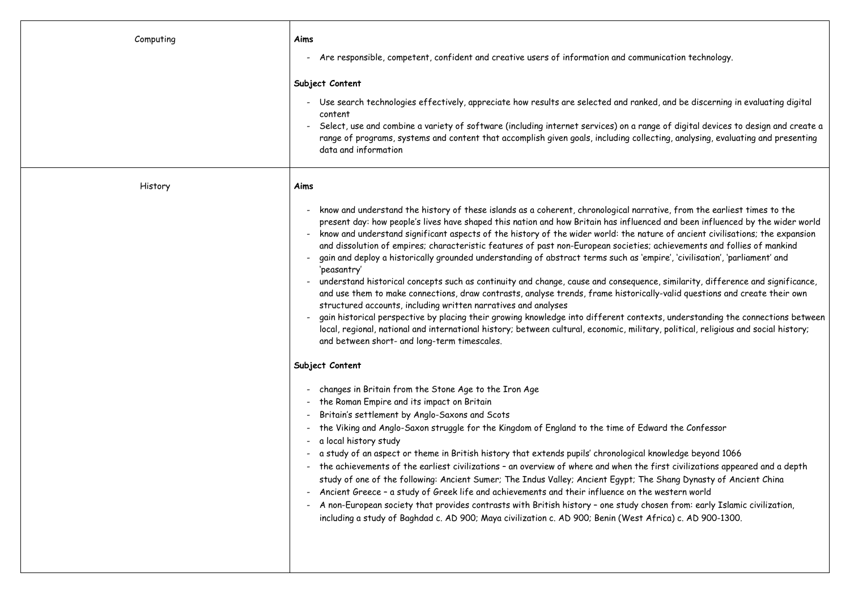| Computing | Aims                                                                                                                                                                                                                                                                                                                                                                                                                                                                                                                                                                                                                                                                                                                                                                                                                                                                                                                         |  |
|-----------|------------------------------------------------------------------------------------------------------------------------------------------------------------------------------------------------------------------------------------------------------------------------------------------------------------------------------------------------------------------------------------------------------------------------------------------------------------------------------------------------------------------------------------------------------------------------------------------------------------------------------------------------------------------------------------------------------------------------------------------------------------------------------------------------------------------------------------------------------------------------------------------------------------------------------|--|
|           | - Are responsible, competent, confident and creative users of information and com                                                                                                                                                                                                                                                                                                                                                                                                                                                                                                                                                                                                                                                                                                                                                                                                                                            |  |
|           | Subject Content                                                                                                                                                                                                                                                                                                                                                                                                                                                                                                                                                                                                                                                                                                                                                                                                                                                                                                              |  |
|           | - Use search technologies effectively, appreciate how results are selected and ran<br>content<br>Select, use and combine a variety of software (including internet services) on a r<br>range of programs, systems and content that accomplish given goals, including col<br>data and information                                                                                                                                                                                                                                                                                                                                                                                                                                                                                                                                                                                                                             |  |
| History   | Aims                                                                                                                                                                                                                                                                                                                                                                                                                                                                                                                                                                                                                                                                                                                                                                                                                                                                                                                         |  |
|           | know and understand the history of these islands as a coherent, chronological nai<br>present day: how people's lives have shaped this nation and how Britain has influe<br>know and understand significant aspects of the history of the wider world: the n<br>and dissolution of empires; characteristic features of past non-European societie<br>gain and deploy a historically grounded understanding of abstract terms such as '<br>'peasantry'<br>understand historical concepts such as continuity and change, cause and conseque<br>and use them to make connections, draw contrasts, analyse trends, frame histori<br>structured accounts, including written narratives and analyses<br>gain historical perspective by placing their growing knowledge into different cont<br>local, regional, national and international history; between cultural, economic, mili<br>and between short- and long-term timescales. |  |
|           | Subject Content                                                                                                                                                                                                                                                                                                                                                                                                                                                                                                                                                                                                                                                                                                                                                                                                                                                                                                              |  |
|           | - changes in Britain from the Stone Age to the Iron Age<br>- the Roman Empire and its impact on Britain<br>Britain's settlement by Anglo-Saxons and Scots<br>- the Viking and Anglo-Saxon struggle for the Kingdom of England to the time of E<br>- a local history study<br>- a study of an aspect or theme in British history that extends pupils' chronologica<br>- the achievements of the earliest civilizations - an overview of where and when th<br>study of one of the following: Ancient Sumer; The Indus Valley; Ancient Egypt; T<br>- Ancient Greece - a study of Greek life and achievements and their influence on t<br>A non-European society that provides contrasts with British history - one study (<br>including a study of Baghdad c. AD 900; Maya civilization c. AD 900; Benin (West                                                                                                                  |  |

munication technology.

hked, and be discerning in evaluating digital

range of digital devices to design and create a  $\overline{\phantom{a}}$ llecting, analysing, evaluating and presenting

rrative, from the earliest times to the enced and been influenced by the wider world iature of ancient civilisations; the expansion es; achievements and follies of mankind 'empire', 'civilisation', 'parliament' and

ence, similarity, difference and significance, ically-valid questions and create their own

texts, understanding the connections between itary, political, religious and social history;

dward the Confessor

al knowledge beyond 1066 ne first civilizations appeared and a depth The Shang Dynasty of Ancient China he western world chosen from: early Islamic civilization,  $i$  Africa) c. AD 900-1300.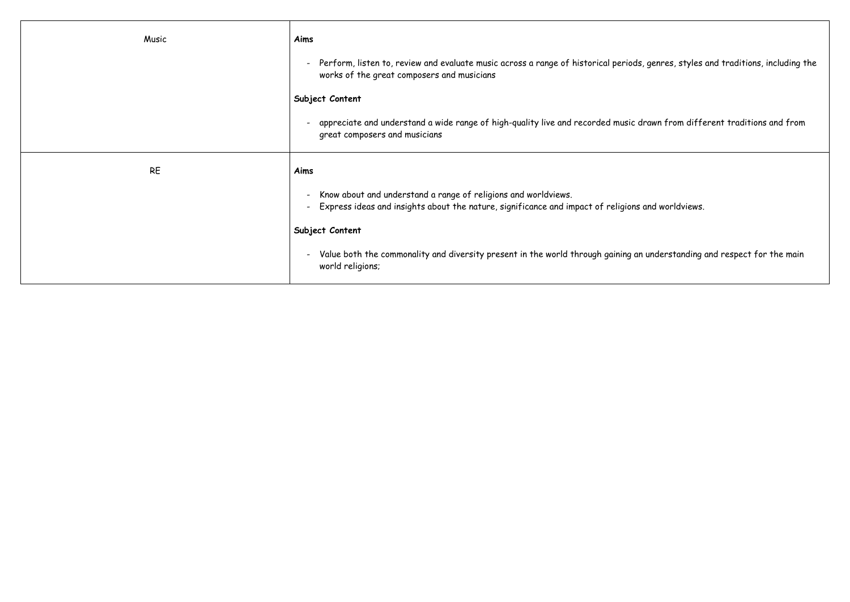| Music     | Aims                                                                                                                                                                                                        |
|-----------|-------------------------------------------------------------------------------------------------------------------------------------------------------------------------------------------------------------|
|           | Perform, listen to, review and evaluate music across a range of historical periods,<br>$\qquad \qquad \blacksquare$<br>works of the great composers and musicians                                           |
|           | Subject Content                                                                                                                                                                                             |
|           | appreciate and understand a wide range of high-quality live and recorded music de<br>$\overline{\phantom{a}}$<br>great composers and musicians                                                              |
| <b>RE</b> | Aims                                                                                                                                                                                                        |
|           | Know about and understand a range of religions and worldviews.<br>$\overline{\phantom{a}}$<br>Express ideas and insights about the nature, significance and impact of religions<br>$\overline{\phantom{a}}$ |
|           | Subject Content                                                                                                                                                                                             |
|           | Value both the commonality and diversity present in the world through gaining an<br>$\qquad \qquad \blacksquare$<br>world religions;                                                                        |

, genres, styles and traditions, including the

-<br>Irawn from different traditions and from

and worldviews.

i understanding and respect for the main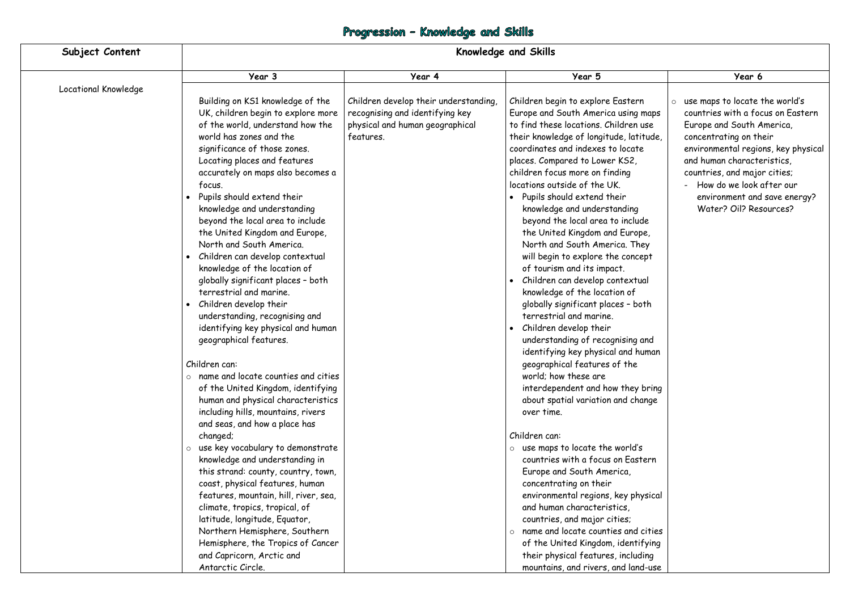# Progression - Knowledge and Skills

| Subject Content      | <b>Knowledge and Skills</b>                                                                                                                                                                                                                                                                                                                                                                                                                                                                                                                                                                                                                                                                                                                                                                                                                                                                                                                                                                                                                                                                                                                                                                                                                                                                   |                                                                                                                          |                                                                                                                                                                                                                                                                                                                                                                                                                                                                                                                                                                                                                                                                                                                                                                                                                                                                                                                                                                                                                                                                                                                                                                                                                                                                                                                              |                                                                                                                                                                                                                                                                                                                               |
|----------------------|-----------------------------------------------------------------------------------------------------------------------------------------------------------------------------------------------------------------------------------------------------------------------------------------------------------------------------------------------------------------------------------------------------------------------------------------------------------------------------------------------------------------------------------------------------------------------------------------------------------------------------------------------------------------------------------------------------------------------------------------------------------------------------------------------------------------------------------------------------------------------------------------------------------------------------------------------------------------------------------------------------------------------------------------------------------------------------------------------------------------------------------------------------------------------------------------------------------------------------------------------------------------------------------------------|--------------------------------------------------------------------------------------------------------------------------|------------------------------------------------------------------------------------------------------------------------------------------------------------------------------------------------------------------------------------------------------------------------------------------------------------------------------------------------------------------------------------------------------------------------------------------------------------------------------------------------------------------------------------------------------------------------------------------------------------------------------------------------------------------------------------------------------------------------------------------------------------------------------------------------------------------------------------------------------------------------------------------------------------------------------------------------------------------------------------------------------------------------------------------------------------------------------------------------------------------------------------------------------------------------------------------------------------------------------------------------------------------------------------------------------------------------------|-------------------------------------------------------------------------------------------------------------------------------------------------------------------------------------------------------------------------------------------------------------------------------------------------------------------------------|
|                      | Year 3                                                                                                                                                                                                                                                                                                                                                                                                                                                                                                                                                                                                                                                                                                                                                                                                                                                                                                                                                                                                                                                                                                                                                                                                                                                                                        | Year 4                                                                                                                   | Year 5                                                                                                                                                                                                                                                                                                                                                                                                                                                                                                                                                                                                                                                                                                                                                                                                                                                                                                                                                                                                                                                                                                                                                                                                                                                                                                                       | Year 6                                                                                                                                                                                                                                                                                                                        |
| Locational Knowledge | Building on KS1 knowledge of the<br>UK, children begin to explore more<br>of the world, understand how the<br>world has zones and the<br>significance of those zones.<br>Locating places and features<br>accurately on maps also becomes a<br>focus.<br>Pupils should extend their<br>knowledge and understanding<br>beyond the local area to include<br>the United Kingdom and Europe,<br>North and South America.<br>Children can develop contextual<br>knowledge of the location of<br>globally significant places - both<br>terrestrial and marine.<br>Children develop their<br>understanding, recognising and<br>identifying key physical and human<br>geographical features.<br>Children can:<br>$\circ$ name and locate counties and cities<br>of the United Kingdom, identifying<br>human and physical characteristics<br>including hills, mountains, rivers<br>and seas, and how a place has<br>changed;<br>use key vocabulary to demonstrate<br>$\circ$<br>knowledge and understanding in<br>this strand: county, country, town,<br>coast, physical features, human<br>features, mountain, hill, river, sea,<br>climate, tropics, tropical, of<br>latitude, longitude, Equator,<br>Northern Hemisphere, Southern<br>Hemisphere, the Tropics of Cancer<br>and Capricorn, Arctic and | Children develop their understanding,<br>recognising and identifying key<br>physical and human geographical<br>features. | Children begin to explore Eastern<br>Europe and South America using maps<br>to find these locations. Children use<br>their knowledge of longitude, latitude,<br>coordinates and indexes to locate<br>places. Compared to Lower KS2,<br>children focus more on finding<br>locations outside of the UK.<br>Pupils should extend their<br>knowledge and understanding<br>beyond the local area to include<br>the United Kingdom and Europe,<br>North and South America. They<br>will begin to explore the concept<br>of tourism and its impact.<br>Children can develop contextual<br>knowledge of the location of<br>globally significant places - both<br>terrestrial and marine.<br>Children develop their<br>understanding of recognising and<br>identifying key physical and human<br>geographical features of the<br>world; how these are<br>interdependent and how they bring<br>about spatial variation and change<br>over time.<br>Children can:<br>$\circ$ use maps to locate the world's<br>countries with a focus on Eastern<br>Europe and South America,<br>concentrating on their<br>environmental regions, key physical<br>and human characteristics,<br>countries, and major cities;<br>$\circ$ name and locate counties and cities<br>of the United Kingdom, identifying<br>their physical features, including | $\circ$ use maps to locate the world's<br>countries with a focus on Eastern<br>Europe and South America,<br>concentrating on their<br>environmental regions, key physical<br>and human characteristics,<br>countries, and major cities;<br>How do we look after our<br>environment and save energy?<br>Water? Oil? Resources? |
|                      | Antarctic Circle.                                                                                                                                                                                                                                                                                                                                                                                                                                                                                                                                                                                                                                                                                                                                                                                                                                                                                                                                                                                                                                                                                                                                                                                                                                                                             |                                                                                                                          | mountains, and rivers, and land-use                                                                                                                                                                                                                                                                                                                                                                                                                                                                                                                                                                                                                                                                                                                                                                                                                                                                                                                                                                                                                                                                                                                                                                                                                                                                                          |                                                                                                                                                                                                                                                                                                                               |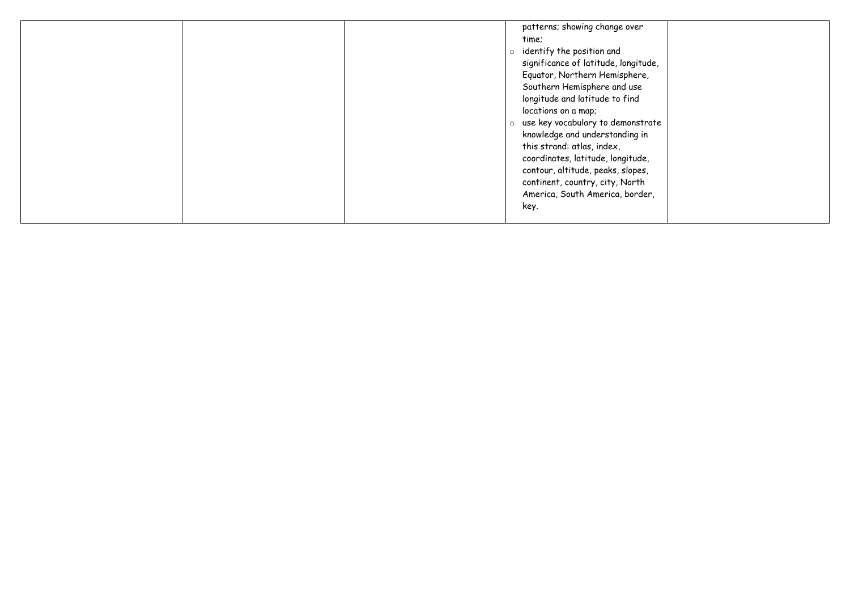|  | patterns; showing change over<br>time;<br>identify the position and<br>$\circ$<br>significance of latitude, longitude,<br>Equator, Northern Hemisphere,<br>Southern Hemisphere and use<br>longitude and latitude to find<br>locations on a map;<br>use key vocabulary to demonstrate<br>$\circ$<br>knowledge and understanding in<br>this strand: atlas, index,<br>coordinates, latitude, longitude,<br>contour, altitude, peaks, slopes,<br>continent, country, city, North<br>America, South America, border,<br>key. |
|--|-------------------------------------------------------------------------------------------------------------------------------------------------------------------------------------------------------------------------------------------------------------------------------------------------------------------------------------------------------------------------------------------------------------------------------------------------------------------------------------------------------------------------|
|--|-------------------------------------------------------------------------------------------------------------------------------------------------------------------------------------------------------------------------------------------------------------------------------------------------------------------------------------------------------------------------------------------------------------------------------------------------------------------------------------------------------------------------|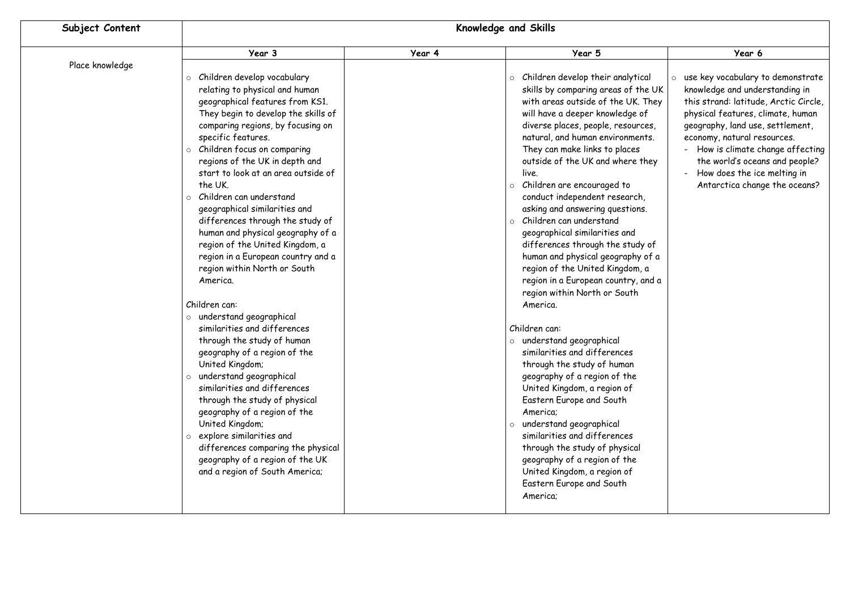| Subject Content                       | <b>Knowledge and Skills</b>                                                                                                                                                                                                                                                                                                                                                                                                                                                                                                                                                                                                                                                                                                                                                                                                                                                                                                                                                                                                                      |        |                                                                                                                                                                                                                                                                                                                                                                                                                                                                                                                                                                                                                                                                                                                                                                                                                                                                                                                                                                                                                                                                                                                  |                                                                                                                                                                                                                                                                                                                                                                 |
|---------------------------------------|--------------------------------------------------------------------------------------------------------------------------------------------------------------------------------------------------------------------------------------------------------------------------------------------------------------------------------------------------------------------------------------------------------------------------------------------------------------------------------------------------------------------------------------------------------------------------------------------------------------------------------------------------------------------------------------------------------------------------------------------------------------------------------------------------------------------------------------------------------------------------------------------------------------------------------------------------------------------------------------------------------------------------------------------------|--------|------------------------------------------------------------------------------------------------------------------------------------------------------------------------------------------------------------------------------------------------------------------------------------------------------------------------------------------------------------------------------------------------------------------------------------------------------------------------------------------------------------------------------------------------------------------------------------------------------------------------------------------------------------------------------------------------------------------------------------------------------------------------------------------------------------------------------------------------------------------------------------------------------------------------------------------------------------------------------------------------------------------------------------------------------------------------------------------------------------------|-----------------------------------------------------------------------------------------------------------------------------------------------------------------------------------------------------------------------------------------------------------------------------------------------------------------------------------------------------------------|
|                                       | Year 3                                                                                                                                                                                                                                                                                                                                                                                                                                                                                                                                                                                                                                                                                                                                                                                                                                                                                                                                                                                                                                           | Year 4 | Year 5                                                                                                                                                                                                                                                                                                                                                                                                                                                                                                                                                                                                                                                                                                                                                                                                                                                                                                                                                                                                                                                                                                           | Year 6                                                                                                                                                                                                                                                                                                                                                          |
| Place knowledge<br>$\circ$<br>$\circ$ | o Children develop vocabulary<br>relating to physical and human<br>geographical features from KS1.<br>They begin to develop the skills of<br>comparing regions, by focusing on<br>specific features.<br>Children focus on comparing<br>regions of the UK in depth and<br>start to look at an area outside of<br>the UK.<br>Children can understand<br>geographical similarities and<br>differences through the study of<br>human and physical geography of a<br>region of the United Kingdom, a<br>region in a European country and a<br>region within North or South<br>America.<br>Children can:<br>o understand geographical<br>similarities and differences<br>through the study of human<br>geography of a region of the<br>United Kingdom;<br>o understand geographical<br>similarities and differences<br>through the study of physical<br>geography of a region of the<br>United Kingdom;<br>$\circ$ explore similarities and<br>differences comparing the physical<br>geography of a region of the UK<br>and a region of South America; |        | $\circ$ Children develop their analytical<br>skills by comparing areas of the UK<br>with areas outside of the UK. They<br>will have a deeper knowledge of<br>diverse places, people, resources,<br>natural, and human environments.<br>They can make links to places<br>outside of the UK and where they<br>live.<br>o Children are encouraged to<br>conduct independent research,<br>asking and answering questions.<br>$\circ$ Children can understand<br>geographical similarities and<br>differences through the study of<br>human and physical geography of a<br>region of the United Kingdom, a<br>region in a European country, and a<br>region within North or South<br>America.<br>Children can:<br>o understand geographical<br>similarities and differences<br>through the study of human<br>geography of a region of the<br>United Kingdom, a region of<br>Eastern Europe and South<br>America;<br>o understand geographical<br>similarities and differences<br>through the study of physical<br>geography of a region of the<br>United Kingdom, a region of<br>Eastern Europe and South<br>America; | o use key vocabulary to demonstrate<br>knowledge and understanding in<br>this strand: latitude, Arctic Circle,<br>physical features, climate, human<br>geography, land use, settlement,<br>economy, natural resources.<br>- How is climate change affecting<br>the world's oceans and people?<br>- How does the ice melting in<br>Antarctica change the oceans? |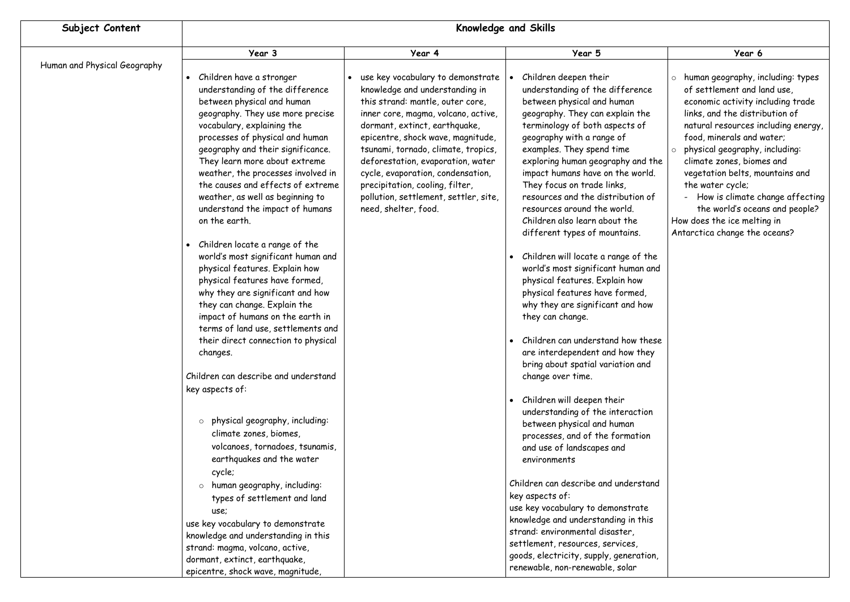| Subject Content              | Knowledge and Skills                                                                                                                                                                                                                                                                                                                                                                                                                                                                                                                                                                                                                                                                                                                                                                                                                                                                                                                                                                                                                                                            |                                                                                                                                                                                                                                                                                                                                                                                                                                           |                                                                                                                                                                                                                                                                                                                                                                                                                                                                                                                                                                                                                                                                                                                                                                                                                                                                                                                                                                                                                                                                                               |                                                                                                                                                                                                                                                                                                                                                                                                                                                                                           |
|------------------------------|---------------------------------------------------------------------------------------------------------------------------------------------------------------------------------------------------------------------------------------------------------------------------------------------------------------------------------------------------------------------------------------------------------------------------------------------------------------------------------------------------------------------------------------------------------------------------------------------------------------------------------------------------------------------------------------------------------------------------------------------------------------------------------------------------------------------------------------------------------------------------------------------------------------------------------------------------------------------------------------------------------------------------------------------------------------------------------|-------------------------------------------------------------------------------------------------------------------------------------------------------------------------------------------------------------------------------------------------------------------------------------------------------------------------------------------------------------------------------------------------------------------------------------------|-----------------------------------------------------------------------------------------------------------------------------------------------------------------------------------------------------------------------------------------------------------------------------------------------------------------------------------------------------------------------------------------------------------------------------------------------------------------------------------------------------------------------------------------------------------------------------------------------------------------------------------------------------------------------------------------------------------------------------------------------------------------------------------------------------------------------------------------------------------------------------------------------------------------------------------------------------------------------------------------------------------------------------------------------------------------------------------------------|-------------------------------------------------------------------------------------------------------------------------------------------------------------------------------------------------------------------------------------------------------------------------------------------------------------------------------------------------------------------------------------------------------------------------------------------------------------------------------------------|
|                              | Year 3                                                                                                                                                                                                                                                                                                                                                                                                                                                                                                                                                                                                                                                                                                                                                                                                                                                                                                                                                                                                                                                                          | Year 4                                                                                                                                                                                                                                                                                                                                                                                                                                    | Year 5                                                                                                                                                                                                                                                                                                                                                                                                                                                                                                                                                                                                                                                                                                                                                                                                                                                                                                                                                                                                                                                                                        | Year 6                                                                                                                                                                                                                                                                                                                                                                                                                                                                                    |
| Human and Physical Geography | Children have a stronger<br>understanding of the difference<br>between physical and human<br>geography. They use more precise<br>vocabulary, explaining the<br>processes of physical and human<br>geography and their significance.<br>They learn more about extreme<br>weather, the processes involved in<br>the causes and effects of extreme<br>weather, as well as beginning to<br>understand the impact of humans<br>on the earth.<br>Children locate a range of the<br>world's most significant human and<br>physical features. Explain how<br>physical features have formed,<br>why they are significant and how<br>they can change. Explain the<br>impact of humans on the earth in<br>terms of land use, settlements and<br>their direct connection to physical<br>changes.<br>Children can describe and understand<br>key aspects of:<br>physical geography, including:<br>$\circ$<br>climate zones, biomes,<br>volcanoes, tornadoes, tsunamis,<br>earthquakes and the water<br>cycle;<br>$\circ$ human geography, including:<br>types of settlement and land<br>use; | use key vocabulary to demonstrate<br>knowledge and understanding in<br>this strand: mantle, outer core,<br>inner core, magma, volcano, active,<br>dormant, extinct, earthquake,<br>epicentre, shock wave, magnitude,<br>tsunami, tornado, climate, tropics,<br>deforestation, evaporation, water<br>cycle, evaporation, condensation,<br>precipitation, cooling, filter,<br>pollution, settlement, settler, site,<br>need, shelter, food. | Children deepen their<br>understanding of the difference<br>between physical and human<br>geography. They can explain the<br>terminology of both aspects of<br>geography with a range of<br>examples. They spend time<br>exploring human geography and the<br>impact humans have on the world.<br>They focus on trade links,<br>resources and the distribution of<br>resources around the world.<br>Children also learn about the<br>different types of mountains.<br>Children will locate a range of the<br>world's most significant human and<br>physical features. Explain how<br>physical features have formed,<br>why they are significant and how<br>they can change.<br>Children can understand how these<br>are interdependent and how they<br>bring about spatial variation and<br>change over time.<br>Children will deepen their<br>understanding of the interaction<br>between physical and human<br>processes, and of the formation<br>and use of landscapes and<br>environments<br>Children can describe and understand<br>key aspects of:<br>use key vocabulary to demonstrate | $\circ$ human geography, including: types<br>of settlement and land use,<br>economic activity including trade<br>links, and the distribution of<br>natural resources including energy,<br>food, minerals and water;<br>physical geography, including:<br>$\circ$<br>climate zones, biomes and<br>vegetation belts, mountains and<br>the water cycle;<br>How is climate change affecting<br>the world's oceans and people?<br>How does the ice melting in<br>Antarctica change the oceans? |
|                              | use key vocabulary to demonstrate                                                                                                                                                                                                                                                                                                                                                                                                                                                                                                                                                                                                                                                                                                                                                                                                                                                                                                                                                                                                                                               |                                                                                                                                                                                                                                                                                                                                                                                                                                           | knowledge and understanding in this<br>strand: environmental disaster,                                                                                                                                                                                                                                                                                                                                                                                                                                                                                                                                                                                                                                                                                                                                                                                                                                                                                                                                                                                                                        |                                                                                                                                                                                                                                                                                                                                                                                                                                                                                           |
|                              | knowledge and understanding in this<br>strand: magma, volcano, active,                                                                                                                                                                                                                                                                                                                                                                                                                                                                                                                                                                                                                                                                                                                                                                                                                                                                                                                                                                                                          |                                                                                                                                                                                                                                                                                                                                                                                                                                           | settlement, resources, services,<br>goods, electricity, supply, generation,                                                                                                                                                                                                                                                                                                                                                                                                                                                                                                                                                                                                                                                                                                                                                                                                                                                                                                                                                                                                                   |                                                                                                                                                                                                                                                                                                                                                                                                                                                                                           |
|                              | dormant, extinct, earthquake,<br>epicentre, shock wave, magnitude,                                                                                                                                                                                                                                                                                                                                                                                                                                                                                                                                                                                                                                                                                                                                                                                                                                                                                                                                                                                                              |                                                                                                                                                                                                                                                                                                                                                                                                                                           | renewable, non-renewable, solar                                                                                                                                                                                                                                                                                                                                                                                                                                                                                                                                                                                                                                                                                                                                                                                                                                                                                                                                                                                                                                                               |                                                                                                                                                                                                                                                                                                                                                                                                                                                                                           |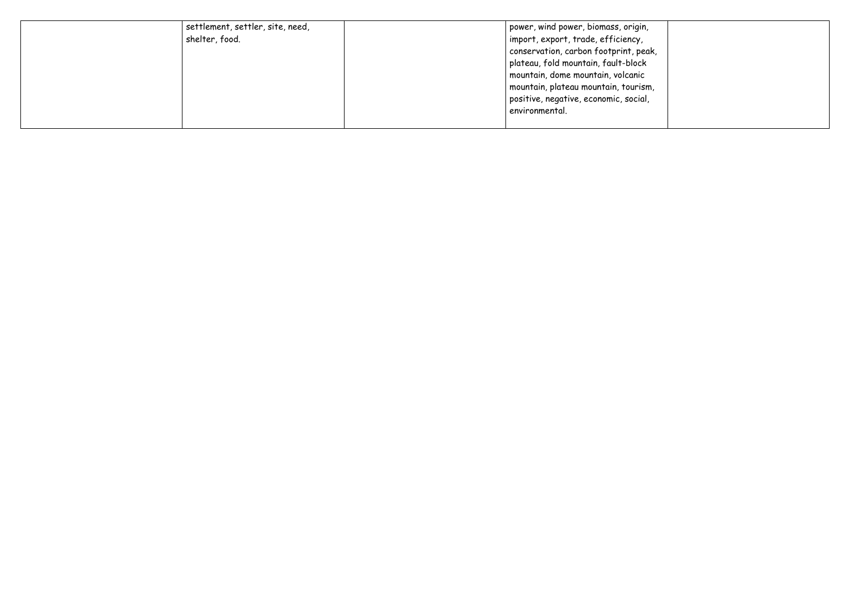| settlement, settler, site, need,<br>shelter, food. | power, wind power, biomass, origin,<br>import, export, trade, efficiency,<br>conservation, carbon footprint, peak,<br>plateau, fold mountain, fault-block<br>mountain, dome mountain, volcanic<br>mountain, plateau mountain, tourism,<br>positive, negative, economic, social,<br>environmental. |  |
|----------------------------------------------------|---------------------------------------------------------------------------------------------------------------------------------------------------------------------------------------------------------------------------------------------------------------------------------------------------|--|
|                                                    |                                                                                                                                                                                                                                                                                                   |  |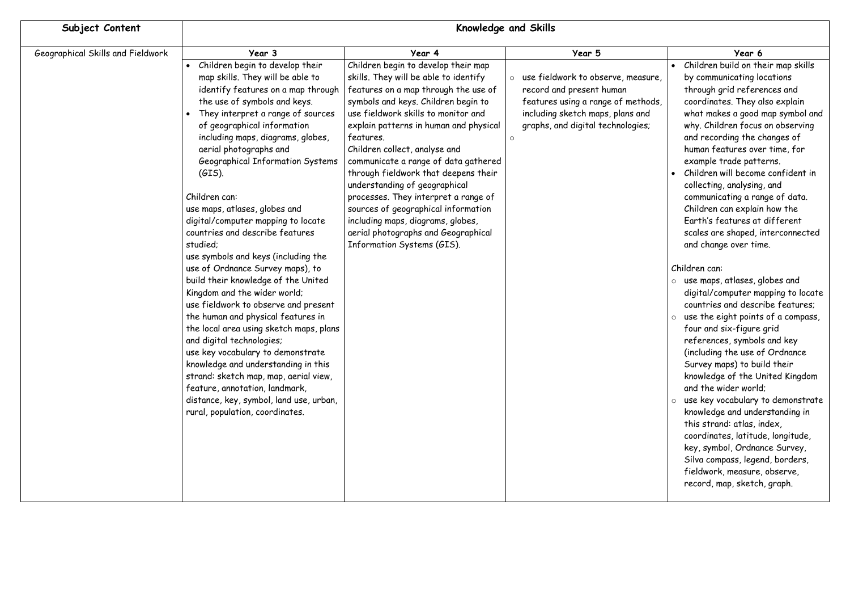| Subject Content                   | <b>Knowledge and Skills</b>                                                                                                                                                                                                                                                                                                                                                                                                                                                                                                                                                                                                                                                                                                                                                                                                                                                                                                                                                                                         |                                                                                                                                                                                                                                                                                                                                                                                                                                                                                                                                                                                                      |                                                                                                                                                                               |                                                                                                                                                                                                                                                                                                                                                                                                                                                                                                                                                                                                                                                                                                                                                                                                                                                                                                                                                                                                                                                                                                                                                                                               |
|-----------------------------------|---------------------------------------------------------------------------------------------------------------------------------------------------------------------------------------------------------------------------------------------------------------------------------------------------------------------------------------------------------------------------------------------------------------------------------------------------------------------------------------------------------------------------------------------------------------------------------------------------------------------------------------------------------------------------------------------------------------------------------------------------------------------------------------------------------------------------------------------------------------------------------------------------------------------------------------------------------------------------------------------------------------------|------------------------------------------------------------------------------------------------------------------------------------------------------------------------------------------------------------------------------------------------------------------------------------------------------------------------------------------------------------------------------------------------------------------------------------------------------------------------------------------------------------------------------------------------------------------------------------------------------|-------------------------------------------------------------------------------------------------------------------------------------------------------------------------------|-----------------------------------------------------------------------------------------------------------------------------------------------------------------------------------------------------------------------------------------------------------------------------------------------------------------------------------------------------------------------------------------------------------------------------------------------------------------------------------------------------------------------------------------------------------------------------------------------------------------------------------------------------------------------------------------------------------------------------------------------------------------------------------------------------------------------------------------------------------------------------------------------------------------------------------------------------------------------------------------------------------------------------------------------------------------------------------------------------------------------------------------------------------------------------------------------|
| Geographical Skills and Fieldwork | Year 3                                                                                                                                                                                                                                                                                                                                                                                                                                                                                                                                                                                                                                                                                                                                                                                                                                                                                                                                                                                                              | Year 4                                                                                                                                                                                                                                                                                                                                                                                                                                                                                                                                                                                               | Year 5                                                                                                                                                                        | Year 6                                                                                                                                                                                                                                                                                                                                                                                                                                                                                                                                                                                                                                                                                                                                                                                                                                                                                                                                                                                                                                                                                                                                                                                        |
|                                   | • Children begin to develop their<br>map skills. They will be able to<br>identify features on a map through<br>the use of symbols and keys.<br>They interpret a range of sources<br>of geographical information<br>including maps, diagrams, globes,<br>aerial photographs and<br>Geographical Information Systems<br>$(GIS)$ .<br>Children can:<br>use maps, atlases, globes and<br>digital/computer mapping to locate<br>countries and describe features<br>studied;<br>use symbols and keys (including the<br>use of Ordnance Survey maps), to<br>build their knowledge of the United<br>Kingdom and the wider world;<br>use fieldwork to observe and present<br>the human and physical features in<br>the local area using sketch maps, plans<br>and digital technologies;<br>use key vocabulary to demonstrate<br>knowledge and understanding in this<br>strand: sketch map, map, aerial view,<br>feature, annotation, landmark,<br>distance, key, symbol, land use, urban,<br>rural, population, coordinates. | Children begin to develop their map<br>skills. They will be able to identify<br>features on a map through the use of<br>symbols and keys. Children begin to<br>use fieldwork skills to monitor and<br>explain patterns in human and physical<br>features.<br>Children collect, analyse and<br>communicate a range of data gathered<br>through fieldwork that deepens their<br>understanding of geographical<br>processes. They interpret a range of<br>sources of geographical information<br>including maps, diagrams, globes,<br>aerial photographs and Geographical<br>Information Systems (GIS). | use fieldwork to observe, measure,<br>record and present human<br>features using a range of methods,<br>including sketch maps, plans and<br>graphs, and digital technologies; | • Children build on their map skills<br>by communicating locations<br>through grid references and<br>coordinates. They also explain<br>what makes a good map symbol and<br>why. Children focus on observing<br>and recording the changes of<br>human features over time, for<br>example trade patterns.<br>• Children will become confident in<br>collecting, analysing, and<br>communicating a range of data.<br>Children can explain how the<br>Earth's features at different<br>scales are shaped, interconnected<br>and change over time.<br>Children can:<br>$\circ$ use maps, atlases, globes and<br>digital/computer mapping to locate<br>countries and describe features;<br>use the eight points of a compass,<br>four and six-figure grid<br>references, symbols and key<br>(including the use of Ordnance<br>Survey maps) to build their<br>knowledge of the United Kingdom<br>and the wider world;<br>o use key vocabulary to demonstrate<br>knowledge and understanding in<br>this strand: atlas, index,<br>coordinates, latitude, longitude,<br>key, symbol, Ordnance Survey,<br>Silva compass, legend, borders,<br>fieldwork, measure, observe,<br>record, map, sketch, graph. |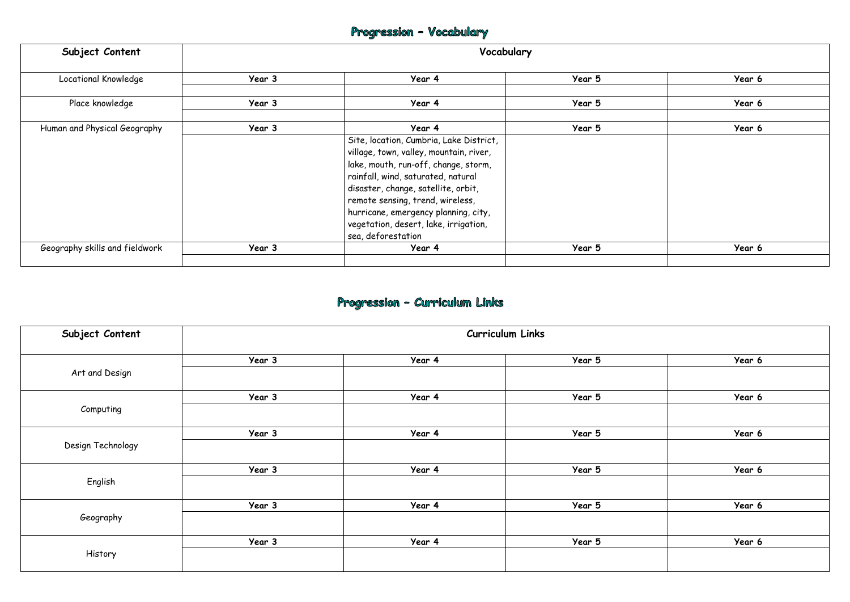# Progression - Vocabulary

| Subject Content                | Vocabulary |                                                                                                                                                                                                                                                                                                                                                    |        |        |
|--------------------------------|------------|----------------------------------------------------------------------------------------------------------------------------------------------------------------------------------------------------------------------------------------------------------------------------------------------------------------------------------------------------|--------|--------|
| Locational Knowledge           | Year 3     | Year 4                                                                                                                                                                                                                                                                                                                                             | Year 5 | Year 6 |
| Place knowledge                | Year 3     | Year 4                                                                                                                                                                                                                                                                                                                                             | Year 5 | Year 6 |
| Human and Physical Geography   | Year 3     | Year 4                                                                                                                                                                                                                                                                                                                                             | Year 5 | Year 6 |
|                                |            | Site, location, Cumbria, Lake District,<br>village, town, valley, mountain, river,<br>lake, mouth, run-off, change, storm,<br>rainfall, wind, saturated, natural<br>disaster, change, satellite, orbit,<br>remote sensing, trend, wireless,<br>hurricane, emergency planning, city,<br>vegetation, desert, lake, irrigation,<br>sea, deforestation |        |        |
| Geography skills and fieldwork | Year 3     | Year 4                                                                                                                                                                                                                                                                                                                                             | Year 5 | Year 6 |
|                                |            |                                                                                                                                                                                                                                                                                                                                                    |        |        |

# Progression - Curriculum Links

| Subject Content   | Curriculum Links |        |        |        |
|-------------------|------------------|--------|--------|--------|
|                   | Year 3           | Year 4 | Year 5 | Year 6 |
| Art and Design    |                  |        |        |        |
|                   | Year 3           | Year 4 | Year 5 | Year 6 |
| Computing         |                  |        |        |        |
|                   | Year 3           | Year 4 | Year 5 | Year 6 |
| Design Technology |                  |        |        |        |
|                   | Year 3           | Year 4 | Year 5 | Year 6 |
| English           |                  |        |        |        |
|                   | Year 3           | Year 4 | Year 5 | Year 6 |
| Geography         |                  |        |        |        |
|                   | Year 3           | Year 4 | Year 5 | Year 6 |
| History           |                  |        |        |        |